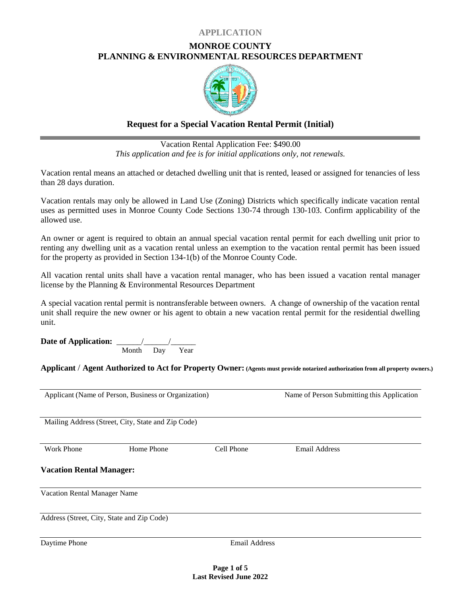## **APPLICATION**

# **MONROE COUNTY PLANNING & ENVIRONMENTAL RESOURCES DEPARTMENT**



# **Request for a Special Vacation Rental Permit (Initial)**

Vacation Rental Application Fee: \$490.00 *This application and fee is for initial applications only, not renewals.*

Vacation rental means an attached or detached dwelling unit that is rented, leased or assigned for tenancies of less than 28 days duration.

Vacation rentals may only be allowed in Land Use (Zoning) Districts which specifically indicate vacation rental uses as permitted uses in Monroe County Code Sections 130-74 through 130-103. Confirm applicability of the allowed use.

An owner or agent is required to obtain an annual special vacation rental permit for each dwelling unit prior to renting any dwelling unit as a vacation rental unless an exemption to the vacation rental permit has been issued for the property as provided in Section 134-1(b) of the Monroe County Code.

All vacation rental units shall have a vacation rental manager, who has been issued a vacation rental manager license by the Planning & Environmental Resources Department

A special vacation rental permit is nontransferable between owners. A change of ownership of the vacation rental unit shall require the new owner or his agent to obtain a new vacation rental permit for the residential dwelling unit.

**Date of Application:** \_\_\_\_\_\_/\_\_\_\_\_\_/\_\_\_\_\_\_ Month Day Year

**Applicant** / **Agent Authorized to Act for Property Owner: (Agents must provide notarized authorization from all property owners.)**

|                                            | Applicant (Name of Person, Business or Organization) |                      | Name of Person Submitting this Application |
|--------------------------------------------|------------------------------------------------------|----------------------|--------------------------------------------|
|                                            | Mailing Address (Street, City, State and Zip Code)   |                      |                                            |
| <b>Work Phone</b>                          | Home Phone                                           | Cell Phone           | <b>Email Address</b>                       |
| <b>Vacation Rental Manager:</b>            |                                                      |                      |                                            |
| Vacation Rental Manager Name               |                                                      |                      |                                            |
| Address (Street, City, State and Zip Code) |                                                      |                      |                                            |
| Daytime Phone                              |                                                      | <b>Email Address</b> |                                            |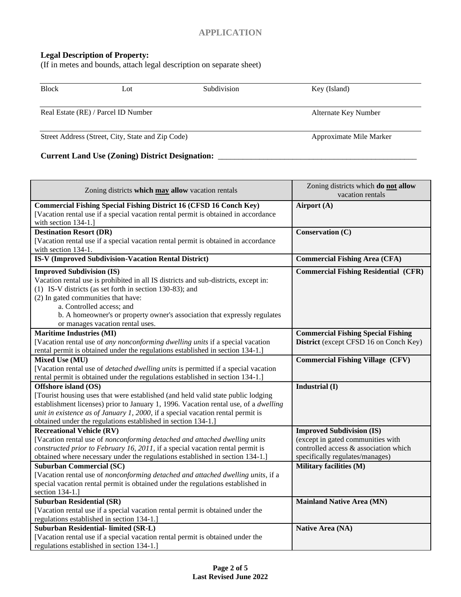# **Legal Description of Property:**

(If in metes and bounds, attach legal description on separate sheet)

| <b>Block</b> | Lot                                               | Subdivision | Key (Island)            |
|--------------|---------------------------------------------------|-------------|-------------------------|
|              | Real Estate (RE) / Parcel ID Number               |             | Alternate Key Number    |
|              | Street Address (Street, City, State and Zip Code) |             | Approximate Mile Marker |

# **Current Land Use (Zoning) District Designation:** \_\_\_\_\_\_\_\_\_\_\_\_\_\_\_\_\_\_\_\_\_\_\_\_\_\_\_\_\_\_\_\_\_\_\_\_\_\_\_\_\_\_\_\_\_\_\_\_

| Zoning districts which may allow vacation rentals                                                                                                                                                                                                                                                                                                                        | Zoning districts which do not allow<br>vacation rentals                                                                                           |
|--------------------------------------------------------------------------------------------------------------------------------------------------------------------------------------------------------------------------------------------------------------------------------------------------------------------------------------------------------------------------|---------------------------------------------------------------------------------------------------------------------------------------------------|
| <b>Commercial Fishing Special Fishing District 16 (CFSD 16 Conch Key)</b><br>[Vacation rental use if a special vacation rental permit is obtained in accordance<br>with section 134-1.]                                                                                                                                                                                  | Airport (A)                                                                                                                                       |
| <b>Destination Resort (DR)</b><br>[Vacation rental use if a special vacation rental permit is obtained in accordance<br>with section 134-1.                                                                                                                                                                                                                              | Conservation (C)                                                                                                                                  |
| IS-V (Improved Subdivision-Vacation Rental District)                                                                                                                                                                                                                                                                                                                     | <b>Commercial Fishing Area (CFA)</b>                                                                                                              |
| <b>Improved Subdivision (IS)</b><br>Vacation rental use is prohibited in all IS districts and sub-districts, except in:<br>(1) IS-V districts (as set forth in section 130-83); and<br>(2) In gated communities that have:<br>a. Controlled access; and<br>b. A homeowner's or property owner's association that expressly regulates<br>or manages vacation rental uses. | <b>Commercial Fishing Residential (CFR)</b>                                                                                                       |
| <b>Maritime Industries (MI)</b>                                                                                                                                                                                                                                                                                                                                          | <b>Commercial Fishing Special Fishing</b>                                                                                                         |
| [Vacation rental use of any nonconforming dwelling units if a special vacation<br>rental permit is obtained under the regulations established in section 134-1.]                                                                                                                                                                                                         | District (except CFSD 16 on Conch Key)                                                                                                            |
| Mixed Use (MU)<br>[Vacation rental use of <i>detached dwelling units</i> is permitted if a special vacation<br>rental permit is obtained under the regulations established in section 134-1.]                                                                                                                                                                            | <b>Commercial Fishing Village (CFV)</b>                                                                                                           |
| Offshore island (OS)<br>[Tourist housing uses that were established (and held valid state public lodging<br>establishment licenses) prior to January 1, 1996. Vacation rental use, of a <i>dwelling</i><br>unit in existence as of January 1, 2000, if a special vacation rental permit is<br>obtained under the regulations established in section 134-1.]              | Industrial (I)                                                                                                                                    |
| <b>Recreational Vehicle (RV)</b><br>[Vacation rental use of nonconforming detached and attached dwelling units<br>constructed prior to February 16, 2011, if a special vacation rental permit is<br>obtained where necessary under the regulations established in section 134-1.]                                                                                        | <b>Improved Subdivision (IS)</b><br>(except in gated communities with<br>controlled access & association which<br>specifically regulates/manages) |
| <b>Suburban Commercial (SC)</b>                                                                                                                                                                                                                                                                                                                                          | <b>Military facilities (M)</b>                                                                                                                    |
| [Vacation rental use of nonconforming detached and attached dwelling units, if a<br>special vacation rental permit is obtained under the regulations established in<br>section 134-1.]                                                                                                                                                                                   |                                                                                                                                                   |
| <b>Suburban Residential (SR)</b>                                                                                                                                                                                                                                                                                                                                         | <b>Mainland Native Area (MN)</b>                                                                                                                  |
| [Vacation rental use if a special vacation rental permit is obtained under the                                                                                                                                                                                                                                                                                           |                                                                                                                                                   |
| regulations established in section 134-1.]                                                                                                                                                                                                                                                                                                                               |                                                                                                                                                   |
| Suburban Residential- limited (SR-L)                                                                                                                                                                                                                                                                                                                                     | Native Area (NA)                                                                                                                                  |
| [Vacation rental use if a special vacation rental permit is obtained under the<br>regulations established in section 134-1.]                                                                                                                                                                                                                                             |                                                                                                                                                   |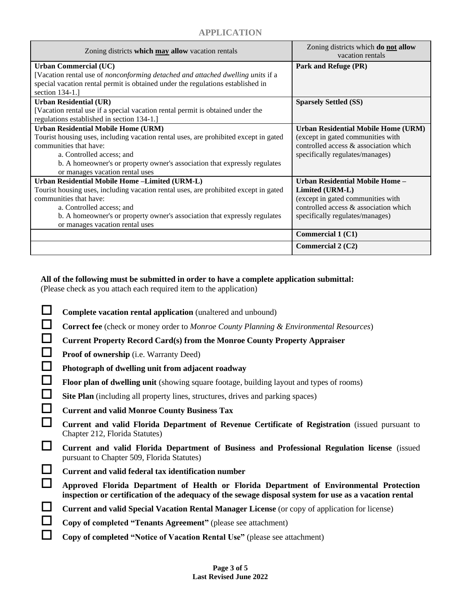| Zoning districts which may allow vacation rentals                                    | Zoning districts which do not allow<br>vacation rentals |
|--------------------------------------------------------------------------------------|---------------------------------------------------------|
| <b>Urban Commercial (UC)</b>                                                         | Park and Refuge (PR)                                    |
| [Vacation rental use of nonconforming detached and attached dwelling units if a      |                                                         |
| special vacation rental permit is obtained under the regulations established in      |                                                         |
| section 134-1.]                                                                      |                                                         |
| <b>Urban Residential (UR)</b>                                                        | <b>Sparsely Settled (SS)</b>                            |
| [Vacation rental use if a special vacation rental permit is obtained under the       |                                                         |
| regulations established in section 134-1.]                                           |                                                         |
| <b>Urban Residential Mobile Home (URM)</b>                                           | Urban Residential Mobile Home (URM)                     |
| Tourist housing uses, including vacation rental uses, are prohibited except in gated | (except in gated communities with                       |
| communities that have:                                                               | controlled access & association which                   |
| a. Controlled access; and                                                            | specifically regulates/manages)                         |
| b. A homeowner's or property owner's association that expressly regulates            |                                                         |
| or manages vacation rental uses                                                      |                                                         |
| Urban Residential Mobile Home -Limited (URM-L)                                       | Urban Residential Mobile Home -                         |
| Tourist housing uses, including vacation rental uses, are prohibited except in gated | Limited (URM-L)                                         |
| communities that have:                                                               | (except in gated communities with                       |
| a. Controlled access; and                                                            | controlled access & association which                   |
| b. A homeowner's or property owner's association that expressly regulates            | specifically regulates/manages)                         |
| or manages vacation rental uses                                                      |                                                         |
|                                                                                      | Commercial 1 (C1)                                       |
|                                                                                      | Commercial $2(C2)$                                      |

## **All of the following must be submitted in order to have a complete application submittal:**

(Please check as you attach each required item to the application)

|          | Complete vacation rental application (unaltered and unbound)                                                                                                                                      |
|----------|---------------------------------------------------------------------------------------------------------------------------------------------------------------------------------------------------|
| $\Box$   | <b>Correct fee</b> (check or money order to Monroe County Planning & Environmental Resources)                                                                                                     |
| $\Box$   | <b>Current Property Record Card(s) from the Monroe County Property Appraiser</b>                                                                                                                  |
| $\Box$   | <b>Proof of ownership</b> (i.e. Warranty Deed)                                                                                                                                                    |
| $\Box$   | Photograph of dwelling unit from adjacent roadway                                                                                                                                                 |
| $\Box$   | <b>Floor plan of dwelling unit</b> (showing square footage, building layout and types of rooms)                                                                                                   |
| $\Box$   | Site Plan (including all property lines, structures, drives and parking spaces)                                                                                                                   |
| $\Box$   | <b>Current and valid Monroe County Business Tax</b>                                                                                                                                               |
| ⊔        | Current and valid Florida Department of Revenue Certificate of Registration (issued pursuant to<br>Chapter 212, Florida Statutes)                                                                 |
| ப        | Current and valid Florida Department of Business and Professional Regulation license (issued<br>pursuant to Chapter 509, Florida Statutes)                                                        |
| $\Box$   | Current and valid federal tax identification number                                                                                                                                               |
| ⊔        | Approved Florida Department of Health or Florida Department of Environmental Protection<br>inspection or certification of the adequacy of the sewage disposal system for use as a vacation rental |
| $\sqcup$ | Current and valid Special Vacation Rental Manager License (or copy of application for license)                                                                                                    |
| $\Box$   | Copy of completed "Tenants Agreement" (please see attachment)                                                                                                                                     |
|          | Copy of completed "Notice of Vacation Rental Use" (please see attachment)                                                                                                                         |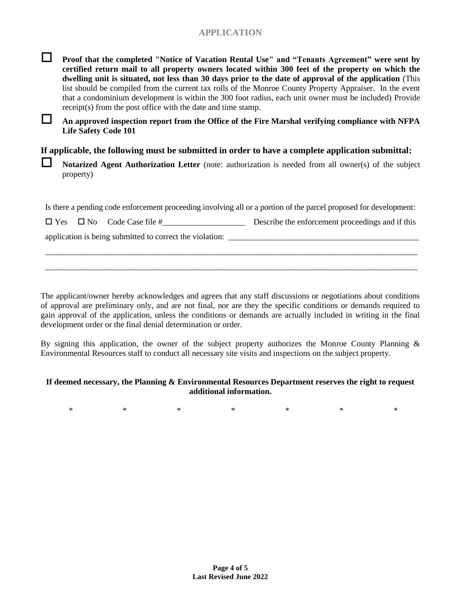# **APPLICATION**



 **Proof that the completed "Notice of Vacation Rental Use" and "Tenants Agreement" were sent by certified return mail to all property owners located within 300 feet of the property on which the dwelling unit is situated, not less than 30 days prior to the date of approval of the application** (This list should be compiled from the current tax rolls of the Monroe County Property Appraiser. In the event that a condominium development is within the 300 foot radius, each unit owner must be included) Provide receipt(s) from the post office with the date and time stamp.

 **An approved inspection report from the Office of the Fire Marshal verifying compliance with NFPA Life Safety Code 101**

#### **If applicable, the following must be submitted in order to have a complete application submittal:**

**Notarized Agent Authorization Letter** (note: authorization is needed from all owner(s) of the subject property)

Is there a pending code enforcement proceeding involving all or a portion of the parcel proposed for development:

|  |  | $\Box$ Yes $\Box$ No Code Case file # | Describe the enforcement proceedings and if this |  |
|--|--|---------------------------------------|--------------------------------------------------|--|
|--|--|---------------------------------------|--------------------------------------------------|--|

\_\_\_\_\_\_\_\_\_\_\_\_\_\_\_\_\_\_\_\_\_\_\_\_\_\_\_\_\_\_\_\_\_\_\_\_\_\_\_\_\_\_\_\_\_\_\_\_\_\_\_\_\_\_\_\_\_\_\_\_\_\_\_\_\_\_\_\_\_\_\_\_\_\_\_\_\_\_\_\_\_\_\_\_\_\_\_\_\_\_ \_\_\_\_\_\_\_\_\_\_\_\_\_\_\_\_\_\_\_\_\_\_\_\_\_\_\_\_\_\_\_\_\_\_\_\_\_\_\_\_\_\_\_\_\_\_\_\_\_\_\_\_\_\_\_\_\_\_\_\_\_\_\_\_\_\_\_\_\_\_\_\_\_\_\_\_\_\_\_\_\_\_\_\_\_\_\_\_\_\_

application is being submitted to correct the violation:

The applicant/owner hereby acknowledges and agrees that any staff discussions or negotiations about conditions of approval are preliminary only, and are not final, nor are they the specific conditions or demands required to gain approval of the application, unless the conditions or demands are actually included in writing in the final development order or the final denial determination or order.

By signing this application, the owner of the subject property authorizes the Monroe County Planning & Environmental Resources staff to conduct all necessary site visits and inspections on the subject property.

#### **If deemed necessary, the Planning & Environmental Resources Department reserves the right to request additional information.**

\* \* \* \* \* \* \* \* \* \*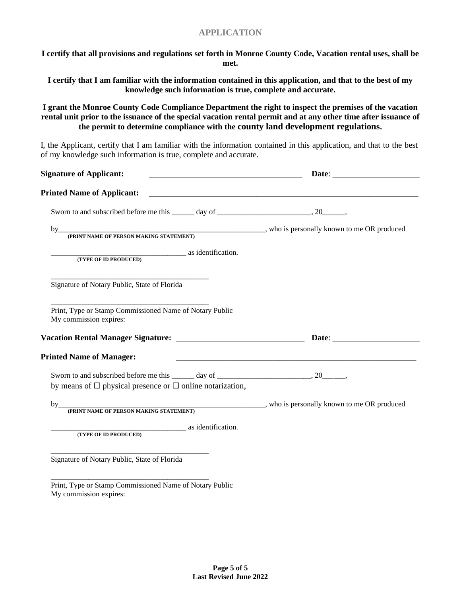## **APPLICATION**

**I certify that all provisions and regulations set forth in Monroe County Code, Vacation rental uses, shall be met.**

**I certify that I am familiar with the information contained in this application, and that to the best of my knowledge such information is true, complete and accurate.**

**I grant the Monroe County Code Compliance Department the right to inspect the premises of the vacation rental unit prior to the issuance of the special vacation rental permit and at any other time after issuance of the permit to determine compliance with the county land development regulations.**

I, the Applicant, certify that I am familiar with the information contained in this application, and that to the best of my knowledge such information is true, complete and accurate.

| <b>Signature of Applicant:</b>                                                                                                                                      |  |
|---------------------------------------------------------------------------------------------------------------------------------------------------------------------|--|
|                                                                                                                                                                     |  |
|                                                                                                                                                                     |  |
|                                                                                                                                                                     |  |
| (TYPE OF ID PRODUCED) as identification.                                                                                                                            |  |
| Signature of Notary Public, State of Florida                                                                                                                        |  |
| Print, Type or Stamp Commissioned Name of Notary Public<br>My commission expires:                                                                                   |  |
|                                                                                                                                                                     |  |
| <b>Printed Name of Manager:</b>                                                                                                                                     |  |
| Sworn to and subscribed before me this ______ day of ___________________________, 20_______,<br>by means of $\Box$ physical presence or $\Box$ online notarization, |  |
|                                                                                                                                                                     |  |
| as identification.<br>(TYPE OF ID PRODUCED)                                                                                                                         |  |
| Signature of Notary Public, State of Florida                                                                                                                        |  |
| Print, Type or Stamp Commissioned Name of Notary Public<br>My commission expires:                                                                                   |  |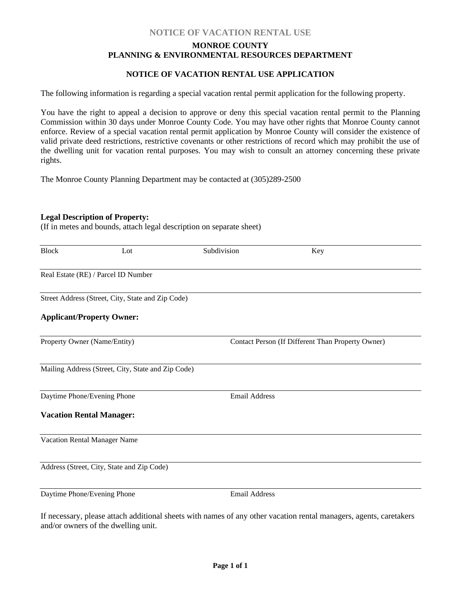## **NOTICE OF VACATION RENTAL USE**

## **MONROE COUNTY PLANNING & ENVIRONMENTAL RESOURCES DEPARTMENT**

#### **NOTICE OF VACATION RENTAL USE APPLICATION**

The following information is regarding a special vacation rental permit application for the following property.

You have the right to appeal a decision to approve or deny this special vacation rental permit to the Planning Commission within 30 days under Monroe County Code. You may have other rights that Monroe County cannot enforce. Review of a special vacation rental permit application by Monroe County will consider the existence of valid private deed restrictions, restrictive covenants or other restrictions of record which may prohibit the use of the dwelling unit for vacation rental purposes. You may wish to consult an attorney concerning these private rights.

The Monroe County Planning Department may be contacted at (305)289-2500

#### **Legal Description of Property:**

(If in metes and bounds, attach legal description on separate sheet)

| <b>Block</b>                    | Lot                                                | Subdivision          | Key                                               |
|---------------------------------|----------------------------------------------------|----------------------|---------------------------------------------------|
|                                 | Real Estate (RE) / Parcel ID Number                |                      |                                                   |
|                                 | Street Address (Street, City, State and Zip Code)  |                      |                                                   |
|                                 | <b>Applicant/Property Owner:</b>                   |                      |                                                   |
| Property Owner (Name/Entity)    |                                                    |                      | Contact Person (If Different Than Property Owner) |
|                                 | Mailing Address (Street, City, State and Zip Code) |                      |                                                   |
| Daytime Phone/Evening Phone     |                                                    | <b>Email Address</b> |                                                   |
| <b>Vacation Rental Manager:</b> |                                                    |                      |                                                   |
|                                 | Vacation Rental Manager Name                       |                      |                                                   |
|                                 | Address (Street, City, State and Zip Code)         |                      |                                                   |
| Daytime Phone/Evening Phone     |                                                    | <b>Email Address</b> |                                                   |
|                                 |                                                    |                      |                                                   |

If necessary, please attach additional sheets with names of any other vacation rental managers, agents, caretakers and/or owners of the dwelling unit.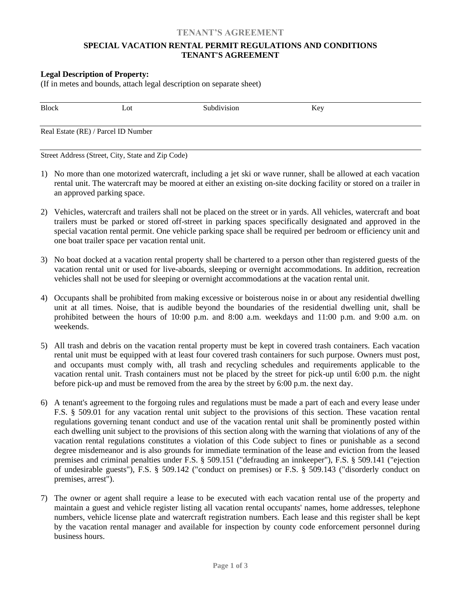#### **TENANT'S AGREEMENT**

#### **SPECIAL VACATION RENTAL PERMIT REGULATIONS AND CONDITIONS TENANT'S AGREEMENT**

#### **Legal Description of Property:**

(If in metes and bounds, attach legal description on separate sheet)

| <b>Block</b> | Lot                                 | Subdivision | Key |  |
|--------------|-------------------------------------|-------------|-----|--|
|              | Real Estate (RE) / Parcel ID Number |             |     |  |

Street Address (Street, City, State and Zip Code)

- 1) No more than one motorized watercraft, including a jet ski or wave runner, shall be allowed at each vacation rental unit. The watercraft may be moored at either an existing on-site docking facility or stored on a trailer in an approved parking space.
- 2) Vehicles, watercraft and trailers shall not be placed on the street or in yards. All vehicles, watercraft and boat trailers must be parked or stored off-street in parking spaces specifically designated and approved in the special vacation rental permit. One vehicle parking space shall be required per bedroom or efficiency unit and one boat trailer space per vacation rental unit.
- 3) No boat docked at a vacation rental property shall be chartered to a person other than registered guests of the vacation rental unit or used for live-aboards, sleeping or overnight accommodations. In addition, recreation vehicles shall not be used for sleeping or overnight accommodations at the vacation rental unit.
- 4) Occupants shall be prohibited from making excessive or boisterous noise in or about any residential dwelling unit at all times. Noise, that is audible beyond the boundaries of the residential dwelling unit, shall be prohibited between the hours of 10:00 p.m. and 8:00 a.m. weekdays and 11:00 p.m. and 9:00 a.m. on weekends.
- 5) All trash and debris on the vacation rental property must be kept in covered trash containers. Each vacation rental unit must be equipped with at least four covered trash containers for such purpose. Owners must post, and occupants must comply with, all trash and recycling schedules and requirements applicable to the vacation rental unit. Trash containers must not be placed by the street for pick-up until 6:00 p.m. the night before pick-up and must be removed from the area by the street by 6:00 p.m. the next day.
- 6) A tenant's agreement to the forgoing rules and regulations must be made a part of each and every lease under F.S. § 509.01 for any vacation rental unit subject to the provisions of this section. These vacation rental regulations governing tenant conduct and use of the vacation rental unit shall be prominently posted within each dwelling unit subject to the provisions of this section along with the warning that violations of any of the vacation rental regulations constitutes a violation of this Code subject to fines or punishable as a second degree misdemeanor and is also grounds for immediate termination of the lease and eviction from the leased premises and criminal penalties under F.S. § 509.151 ("defrauding an innkeeper"), F.S. § 509.141 ("ejection of undesirable guests"), F.S. § 509.142 ("conduct on premises) or F.S. § 509.143 ("disorderly conduct on premises, arrest").
- 7) The owner or agent shall require a lease to be executed with each vacation rental use of the property and maintain a guest and vehicle register listing all vacation rental occupants' names, home addresses, telephone numbers, vehicle license plate and watercraft registration numbers. Each lease and this register shall be kept by the vacation rental manager and available for inspection by county code enforcement personnel during business hours.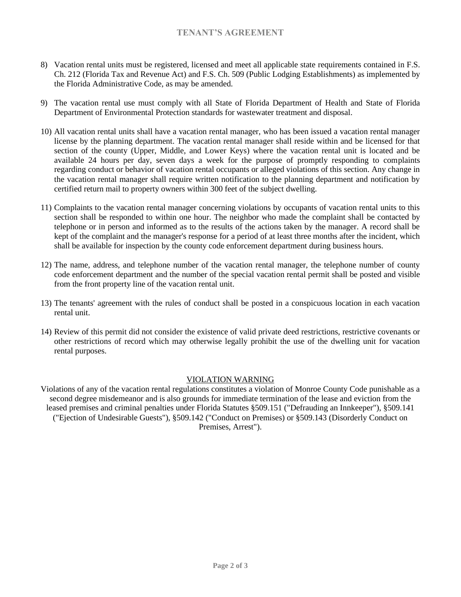## **TENANT'S AGREEMENT**

- 8) Vacation rental units must be registered, licensed and meet all applicable state requirements contained in F.S. Ch. 212 (Florida Tax and Revenue Act) and F.S. Ch. 509 (Public Lodging Establishments) as implemented by the Florida Administrative Code, as may be amended.
- 9) The vacation rental use must comply with all State of Florida Department of Health and State of Florida Department of Environmental Protection standards for wastewater treatment and disposal.
- 10) All vacation rental units shall have a vacation rental manager, who has been issued a vacation rental manager license by the planning department. The vacation rental manager shall reside within and be licensed for that section of the county (Upper, Middle, and Lower Keys) where the vacation rental unit is located and be available 24 hours per day, seven days a week for the purpose of promptly responding to complaints regarding conduct or behavior of vacation rental occupants or alleged violations of this section. Any change in the vacation rental manager shall require written notification to the planning department and notification by certified return mail to property owners within 300 feet of the subject dwelling.
- 11) Complaints to the vacation rental manager concerning violations by occupants of vacation rental units to this section shall be responded to within one hour. The neighbor who made the complaint shall be contacted by telephone or in person and informed as to the results of the actions taken by the manager. A record shall be kept of the complaint and the manager's response for a period of at least three months after the incident, which shall be available for inspection by the county code enforcement department during business hours.
- 12) The name, address, and telephone number of the vacation rental manager, the telephone number of county code enforcement department and the number of the special vacation rental permit shall be posted and visible from the front property line of the vacation rental unit.
- 13) The tenants' agreement with the rules of conduct shall be posted in a conspicuous location in each vacation rental unit.
- 14) Review of this permit did not consider the existence of valid private deed restrictions, restrictive covenants or other restrictions of record which may otherwise legally prohibit the use of the dwelling unit for vacation rental purposes.

#### VIOLATION WARNING

Violations of any of the vacation rental regulations constitutes a violation of Monroe County Code punishable as a second degree misdemeanor and is also grounds for immediate termination of the lease and eviction from the leased premises and criminal penalties under Florida Statutes §509.151 ("Defrauding an Innkeeper"), §509.141 ("Ejection of Undesirable Guests"), §509.142 ("Conduct on Premises) or §509.143 (Disorderly Conduct on Premises, Arrest").